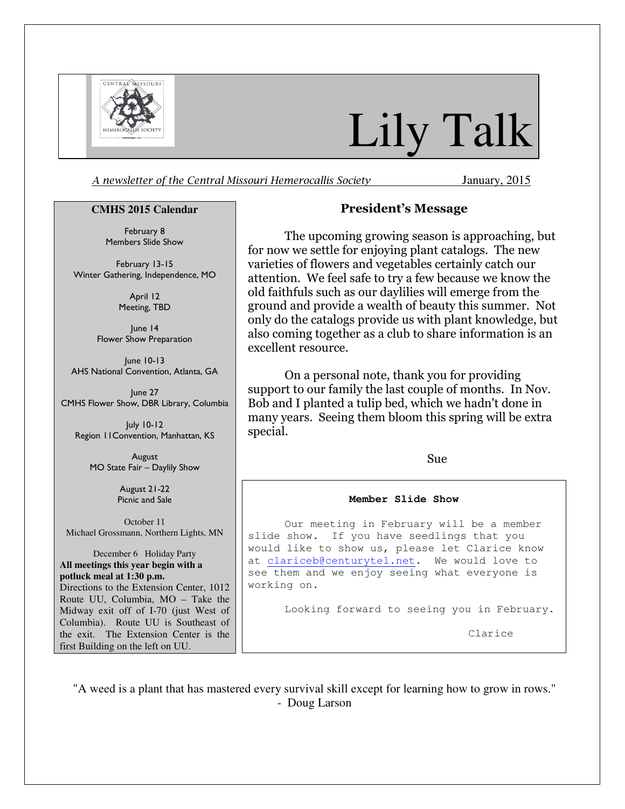

# Lily Talk

A newsletter of the Central Missouri Hemerocallis Society January, 2015

#### **CMHS 2015 Calendar**

February 8 Members Slide Show

February 13-15 Winter Gathering, Independence, MO

> April 12 Meeting, TBD

June 14 Flower Show Preparation

June 10-13 AHS National Convention, Atlanta, GA

June 27 CMHS Flower Show, DBR Library, Columbia

July 10-12 Region 11Convention, Manhattan, KS

> August MO State Fair – Daylily Show

> > August 21-22 Picnic and Sale

October 11 Michael Grossmann, Northern Lights, MN

December 6 Holiday Party **All meetings this year begin with a potluck meal at 1:30 p.m.**  Directions to the Extension Center, 1012 Route UU, Columbia, MO – Take the Midway exit off of I-70 (just West of Columbia). Route UU is Southeast of the exit. The Extension Center is the first Building on the left on UU.

### President's Message

The upcoming growing season is approaching, but for now we settle for enjoying plant catalogs. The new varieties of flowers and vegetables certainly catch our attention. We feel safe to try a few because we know the old faithfuls such as our daylilies will emerge from the ground and provide a wealth of beauty this summer. Not only do the catalogs provide us with plant knowledge, but also coming together as a club to share information is an excellent resource.

On a personal note, thank you for providing support to our family the last couple of months. In Nov. Bob and I planted a tulip bed, which we hadn't done in many years. Seeing them bloom this spring will be extra special.

Sue

#### **Member Slide Show**

 Our meeting in February will be a member slide show. If you have seedlings that you would like to show us, please let Clarice know at clariceb@centurytel.net. We would love to see them and we enjoy seeing what everyone is working on.

Looking forward to seeing you in February.

Clarice

"A weed is a plant that has mastered every survival skill except for learning how to grow in rows." - Doug Larson